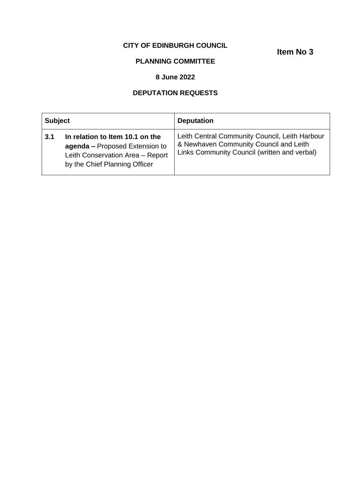### **CITY OF EDINBURGH COUNCIL**

**Item No 3**

# **PLANNING COMMITTEE**

#### **8 June 2022**

## **DEPUTATION REQUESTS**

| <b>Subject</b> |                                                                                                                                        | <b>Deputation</b>                                                                                                                        |
|----------------|----------------------------------------------------------------------------------------------------------------------------------------|------------------------------------------------------------------------------------------------------------------------------------------|
| 3.1            | In relation to Item 10.1 on the<br>agenda - Proposed Extension to<br>Leith Conservation Area - Report<br>by the Chief Planning Officer | Leith Central Community Council, Leith Harbour<br>& Newhaven Community Council and Leith<br>Links Community Council (written and verbal) |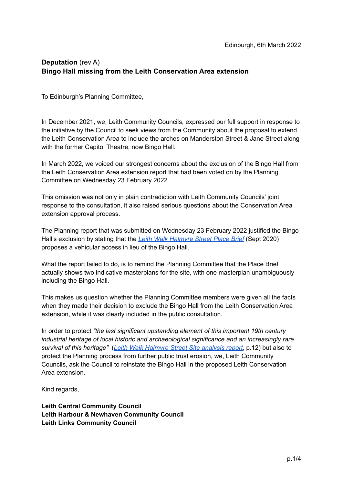### **Deputation** (rev A) **Bingo Hall missing from the Leith Conservation Area extension**

To Edinburgh's Planning Committee,

In December 2021, we, Leith Community Councils, expressed our full support in response to the initiative by the Council to seek views from the Community about the proposal to extend the Leith Conservation Area to include the arches on Manderston Street & Jane Street along with the former Capitol Theatre, now Bingo Hall.

In March 2022, we voiced our strongest concerns about the exclusion of the Bingo Hall from the Leith Conservation Area extension report that had been voted on by the Planning Committee on Wednesday 23 February 2022.

This omission was not only in plain contradiction with Leith Community Councils' joint response to the consultation, it also raised serious questions about the Conservation Area extension approval process.

The Planning report that was submitted on Wednesday 23 February 2022 justified the Bingo Hall's exclusion by stating that the *Leith Walk [Halmyre](https://www.edinburgh.gov.uk/downloads/file/28284/leith-walk-halmyre-street-place-brief) Street Place Brief* (Sept 2020) proposes a vehicular access in lieu of the Bingo Hall.

What the report failed to do, is to remind the Planning Committee that the Place Brief actually shows two indicative masterplans for the site, with one masterplan unambiguously including the Bingo Hall.

This makes us question whether the Planning Committee members were given all the facts when they made their decision to exclude the Bingo Hall from the Leith Conservation Area extension, while it was clearly included in the public consultation.

In order to protect *"the last significant upstanding element of this important 19th century industrial heritage of local historic and archaeological significance and an increasingly rare survival of this heritage"* (*Leith Walk [Halmyre](https://consultationhub.edinburgh.gov.uk/sfc/leith-walk-halmyre-street-site-brief/supporting_documents/Leith%20Walk%20halmyre%20Street%20Site%20analysis%20report%20March%202020.pdf) Street Site analysis report*, p.12) but also to protect the Planning process from further public trust erosion, we, Leith Community Councils, ask the Council to reinstate the Bingo Hall in the proposed Leith Conservation Area extension.

Kind regards,

**Leith Central Community Council Leith Harbour & Newhaven Community Council Leith Links Community Council**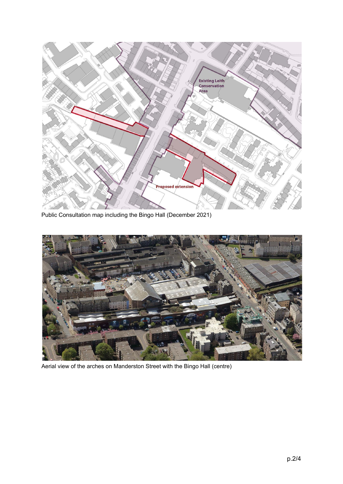

Public Consultation map including the Bingo Hall (December 2021)



Aerial view of the arches on Manderston Street with the Bingo Hall (centre)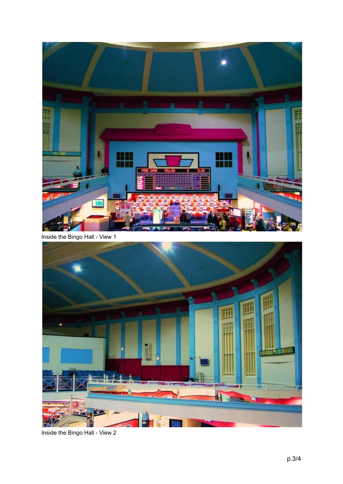

Inside the Bingo Hall - View 1



Inside the Bingo Hall - View 2